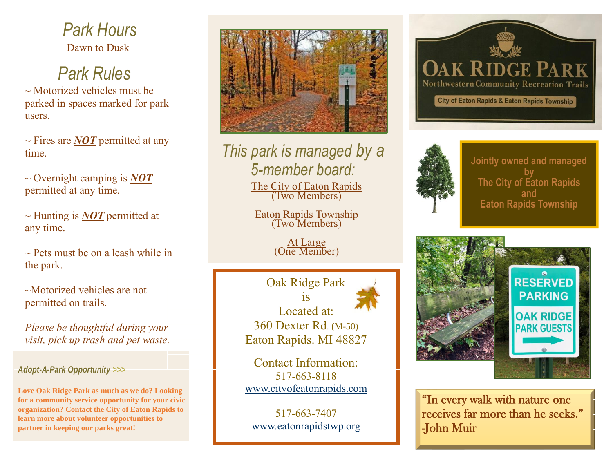Dawn to Dusk *Park Hours*

## *Park Rules*

 $\sim$  Motorized vehicles must be parked in spaces marked for park users.

 $\sim$  Fires are *NOT* permitted at any time.

~ Overnight camping is *NOT* permitted at any time.

~ Hunting is *NOT* permitted at any time.

 $\sim$  Pets must be on a leash while in the park.

~Motorized vehicles are not permitted on trails.

*Please be thoughtful during your visit, pick up trash and pet waste.* 

## *Adopt-A-Park Opportunity >>>*

**Love Oak Ridge Park as much as we do? Looking for a community service opportunity for your civic organization? Contact the City of Eaton Rapids to learn more about volunteer opportunities to partner in keeping our parks great!**



*This park is managed by a 5-member board:*

> The City of Eaton Rapids (Two Members)

Eaton Rapids Township (Two Members)

> At Large (One Member)

Oak Ridge Park  $1S$ Located at: 360 Dexter Rd. (M-50) Eaton Rapids. MI 48827

Contact Information: 517-663-8118 [www.cityofeatonrapids.com](http://www.cityofeatonrapids.com/)

517-663-7407 [www.eatonrapidstwp.org](http://www.eatonrapidstwp.org/)





**Jointly owned and managed by The City of Eaton Rapids and Eaton Rapids Township**



"In every walk with nature one receives far more than he seeks." -John Muir